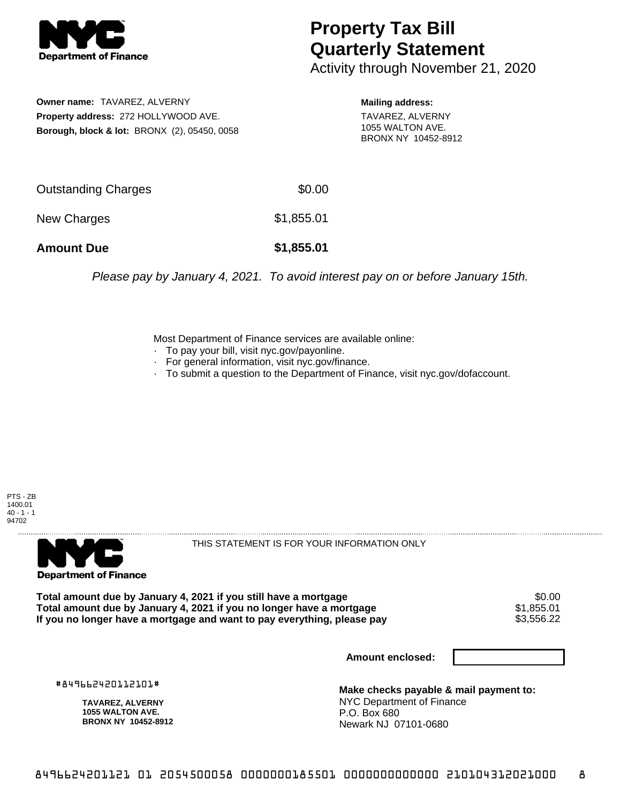

## **Property Tax Bill Quarterly Statement**

Activity through November 21, 2020

**Owner name:** TAVAREZ, ALVERNY **Property address:** 272 HOLLYWOOD AVE. **Borough, block & lot:** BRONX (2), 05450, 0058 **Mailing address:**

TAVAREZ, ALVERNY 1055 WALTON AVE. BRONX NY 10452-8912

| <b>Amount Due</b>   | \$1,855.01 |
|---------------------|------------|
| New Charges         | \$1,855.01 |
| Outstanding Charges | \$0.00     |

Please pay by January 4, 2021. To avoid interest pay on or before January 15th.

Most Department of Finance services are available online:

- · To pay your bill, visit nyc.gov/payonline.
- For general information, visit nyc.gov/finance.
- · To submit a question to the Department of Finance, visit nyc.gov/dofaccount.

PTS - ZB 1400.01  $40 - 1 - 1$ 94702



THIS STATEMENT IS FOR YOUR INFORMATION ONLY

Total amount due by January 4, 2021 if you still have a mortgage **\$0.00** \$0.00<br>Total amount due by January 4, 2021 if you no longer have a mortgage **\$1,855.01 Total amount due by January 4, 2021 if you no longer have a mortgage**  $$1,855.01$ **<br>If you no longer have a mortgage and want to pay everything, please pay <b>show that have a** \$3,556.22 If you no longer have a mortgage and want to pay everything, please pay

**Amount enclosed:**

#849662420112101#

**TAVAREZ, ALVERNY 1055 WALTON AVE. BRONX NY 10452-8912**

**Make checks payable & mail payment to:** NYC Department of Finance P.O. Box 680 Newark NJ 07101-0680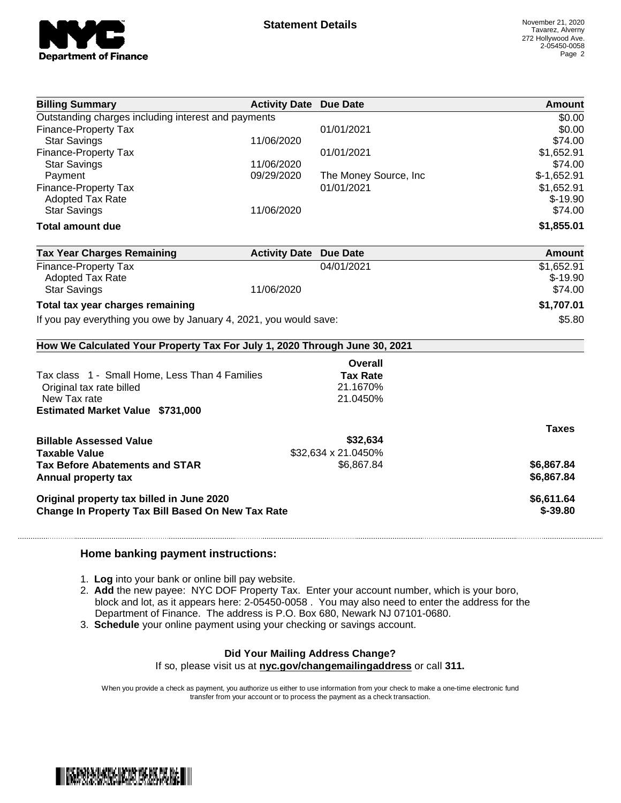

| <b>Billing Summary</b>                                                     | <b>Activity Date Due Date</b> |                       | Amount        |
|----------------------------------------------------------------------------|-------------------------------|-----------------------|---------------|
| Outstanding charges including interest and payments                        |                               |                       | \$0.00        |
| <b>Finance-Property Tax</b>                                                |                               | 01/01/2021            | \$0.00        |
| <b>Star Savings</b>                                                        | 11/06/2020                    |                       | \$74.00       |
| Finance-Property Tax                                                       |                               | 01/01/2021            | \$1,652.91    |
| <b>Star Savings</b>                                                        | 11/06/2020                    |                       | \$74.00       |
| Payment                                                                    | 09/29/2020                    | The Money Source, Inc | $$-1,652.91$  |
| <b>Finance-Property Tax</b>                                                |                               | 01/01/2021            | \$1,652.91    |
| <b>Adopted Tax Rate</b>                                                    |                               |                       | $$-19.90$     |
| <b>Star Savings</b>                                                        | 11/06/2020                    |                       | \$74.00       |
| <b>Total amount due</b>                                                    |                               |                       | \$1,855.01    |
| <b>Tax Year Charges Remaining</b>                                          | <b>Activity Date Due Date</b> |                       | <b>Amount</b> |
| <b>Finance-Property Tax</b>                                                |                               | 04/01/2021            | \$1,652.91    |
| <b>Adopted Tax Rate</b>                                                    |                               |                       | $$-19.90$     |
| <b>Star Savings</b>                                                        | 11/06/2020                    |                       | \$74.00       |
| Total tax year charges remaining                                           |                               |                       | \$1,707.01    |
| If you pay everything you owe by January 4, 2021, you would save:          |                               |                       | \$5.80        |
| How We Calculated Your Property Tax For July 1, 2020 Through June 30, 2021 |                               |                       |               |
|                                                                            |                               | Overall               |               |
| Tax class 1 - Small Home, Less Than 4 Families                             |                               | <b>Tax Rate</b>       |               |
| Original tax rate billed                                                   |                               | 21.1670%              |               |
| New Tax rate                                                               |                               | 21.0450%              |               |
| <b>Estimated Market Value \$731,000</b>                                    |                               |                       |               |
|                                                                            |                               |                       | <b>Taxes</b>  |
| <b>Billable Assessed Value</b>                                             |                               | \$32,634              |               |
| <b>Taxable Value</b>                                                       |                               | \$32,634 x 21.0450%   |               |
| <b>Tax Before Abatements and STAR</b>                                      |                               | \$6,867.84            | \$6,867.84    |
| Annual property tax                                                        |                               |                       | \$6,867.84    |
|                                                                            |                               |                       |               |
| Original property tax billed in June 2020                                  |                               |                       | \$6,611.64    |
| Change In Property Tax Bill Based On New Tax Rate                          |                               |                       | $$-39.80$     |
|                                                                            |                               |                       |               |

## **Home banking payment instructions:**

- 1. **Log** into your bank or online bill pay website.
- 2. **Add** the new payee: NYC DOF Property Tax. Enter your account number, which is your boro, block and lot, as it appears here: 2-05450-0058 . You may also need to enter the address for the Department of Finance. The address is P.O. Box 680, Newark NJ 07101-0680.
- 3. **Schedule** your online payment using your checking or savings account.

## **Did Your Mailing Address Change?**

If so, please visit us at **nyc.gov/changemailingaddress** or call **311.**

When you provide a check as payment, you authorize us either to use information from your check to make a one-time electronic fund transfer from your account or to process the payment as a check transaction.